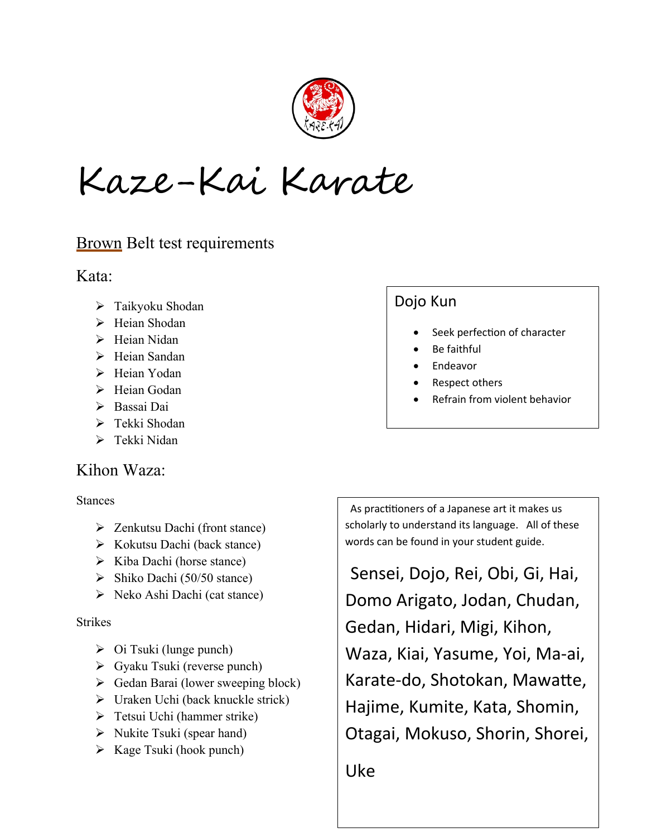

Kaze-Kai Karate

## **Brown Belt test requirements**

Kata:

- Taikyoku Shodan
- > Heian Shodan
- $\triangleright$  Heian Nidan
- $\triangleright$  Heian Sandan
- > Heian Yodan
- $\triangleright$  Heian Godan
- Bassai Dai
- > Tekki Shodan
- $\triangleright$  Tekki Nidan

### Kihon Waza:

Stances

- Zenkutsu Dachi (front stance)
- $\triangleright$  Kokutsu Dachi (back stance)
- $\triangleright$  Kiba Dachi (horse stance)
- $\triangleright$  Shiko Dachi (50/50 stance)
- $\triangleright$  Neko Ashi Dachi (cat stance)

### **Strikes**

- $\triangleright$  Oi Tsuki (lunge punch)
- Gyaku Tsuki (reverse punch)
- $\triangleright$  Gedan Barai (lower sweeping block)
- $\triangleright$  Uraken Uchi (back knuckle strick)
- Tetsui Uchi (hammer strike)
- $\triangleright$  Nukite Tsuki (spear hand)
- $\triangleright$  Kage Tsuki (hook punch)

# Dojo Kun

- Seek perfection of character
- Be faithful
- Endeavor
- Respect others
- Refrain from violent behavior

 As practitioners of a Japanese art it makes us scholarly to understand its language. All of these words can be found in your student guide.

 Sensei, Dojo, Rei, Obi, Gi, Hai, Domo Arigato, Jodan, Chudan, Gedan, Hidari, Migi, Kihon, Waza, Kiai, Yasume, Yoi, Ma-ai, Karate-do, Shotokan, Mawatte, Hajime, Kumite, Kata, Shomin, Otagai, Mokuso, Shorin, Shorei,

Uke